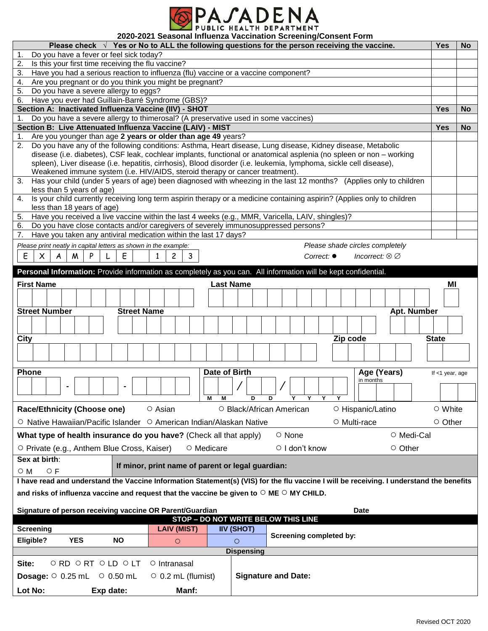

**2020-2021 Seasonal Influenza Vaccination Screening/Consent Form**

| Please check $\sqrt{ }$ Yes or No to ALL the following questions for the person receiving the vaccine.                                                                                                                                    |                                                   |                          |                            |                                  | <b>Yes</b>      | <b>No</b> |
|-------------------------------------------------------------------------------------------------------------------------------------------------------------------------------------------------------------------------------------------|---------------------------------------------------|--------------------------|----------------------------|----------------------------------|-----------------|-----------|
| Do you have a fever or feel sick today?<br>1.                                                                                                                                                                                             |                                                   |                          |                            |                                  |                 |           |
| 2.<br>Is this your first time receiving the flu vaccine?                                                                                                                                                                                  |                                                   |                          |                            |                                  |                 |           |
| Have you had a serious reaction to influenza (flu) vaccine or a vaccine component?<br>3.<br>4.                                                                                                                                            |                                                   |                          |                            |                                  |                 |           |
| Are you pregnant or do you think you might be pregnant?<br>Do you have a severe allergy to eggs?<br>5.                                                                                                                                    |                                                   |                          |                            |                                  |                 |           |
| Have you ever had Guillain-Barré Syndrome (GBS)?                                                                                                                                                                                          |                                                   |                          |                            |                                  |                 |           |
| 6.<br>Section A: Inactivated Influenza Vaccine (IIV) - SHOT                                                                                                                                                                               |                                                   |                          |                            |                                  |                 |           |
| Do you have a severe allergy to thimerosal? (A preservative used in some vaccines)<br>1.                                                                                                                                                  |                                                   |                          |                            |                                  | <b>Yes</b>      | <b>No</b> |
| Section B: Live Attenuated Influenza Vaccine (LAIV) - MIST                                                                                                                                                                                |                                                   |                          |                            |                                  |                 |           |
|                                                                                                                                                                                                                                           |                                                   |                          |                            |                                  | <b>Yes</b>      | <b>No</b> |
| Are you younger than age 2 years or older than age 49 years?<br>1.<br>2. Do you have any of the following conditions: Asthma, Heart disease, Lung disease, Kidney disease, Metabolic                                                      |                                                   |                          |                            |                                  |                 |           |
|                                                                                                                                                                                                                                           |                                                   |                          |                            |                                  |                 |           |
| disease (i.e. diabetes), CSF leak, cochlear implants, functional or anatomical asplenia (no spleen or non - working<br>spleen), Liver disease (i.e. hepatitis, cirrhosis), Blood disorder (i.e. leukemia, lymphoma, sickle cell disease), |                                                   |                          |                            |                                  |                 |           |
| Weakened immune system (i.e. HIV/AIDS, steroid therapy or cancer treatment).                                                                                                                                                              |                                                   |                          |                            |                                  |                 |           |
| Has your child (under 5 years of age) been diagnosed with wheezing in the last 12 months? (Applies only to children<br>3.                                                                                                                 |                                                   |                          |                            |                                  |                 |           |
| less than 5 years of age)                                                                                                                                                                                                                 |                                                   |                          |                            |                                  |                 |           |
| Is your child currently receiving long term aspirin therapy or a medicine containing aspirin? (Applies only to children<br>4.                                                                                                             |                                                   |                          |                            |                                  |                 |           |
| less than 18 years of age)                                                                                                                                                                                                                |                                                   |                          |                            |                                  |                 |           |
| Have you received a live vaccine within the last 4 weeks (e.g., MMR, Varicella, LAIV, shingles)?<br>5.                                                                                                                                    |                                                   |                          |                            |                                  |                 |           |
| Do you have close contacts and/or caregivers of severely immunosuppressed persons?<br>6.                                                                                                                                                  |                                                   |                          |                            |                                  |                 |           |
| Have you taken any antiviral medication within the last 17 days?<br>7.                                                                                                                                                                    |                                                   |                          |                            |                                  |                 |           |
| Please print neatly in capital letters as shown in the example:                                                                                                                                                                           |                                                   |                          |                            | Please shade circles completely  |                 |           |
| Ε<br>Ε<br>$\times$<br>P<br>A<br>M                                                                                                                                                                                                         | 3<br>2                                            |                          | Correct: ●                 | Incorrect: $\otimes \varnothing$ |                 |           |
|                                                                                                                                                                                                                                           |                                                   |                          |                            |                                  |                 |           |
| Personal Information: Provide information as completely as you can. All information will be kept confidential.                                                                                                                            |                                                   |                          |                            |                                  |                 |           |
| <b>First Name</b>                                                                                                                                                                                                                         | <b>Last Name</b>                                  |                          |                            |                                  | ΜI              |           |
|                                                                                                                                                                                                                                           |                                                   |                          |                            |                                  |                 |           |
|                                                                                                                                                                                                                                           |                                                   |                          |                            |                                  |                 |           |
| <b>Street Number</b><br><b>Street Name</b>                                                                                                                                                                                                |                                                   |                          |                            | Apt. Number                      |                 |           |
|                                                                                                                                                                                                                                           |                                                   |                          |                            |                                  |                 |           |
|                                                                                                                                                                                                                                           |                                                   |                          |                            |                                  |                 |           |
| City                                                                                                                                                                                                                                      |                                                   |                          | Zip code                   |                                  | <b>State</b>    |           |
|                                                                                                                                                                                                                                           |                                                   |                          |                            |                                  |                 |           |
|                                                                                                                                                                                                                                           |                                                   |                          |                            |                                  |                 |           |
| <b>Phone</b>                                                                                                                                                                                                                              | Date of Birth                                     |                          |                            | Age (Years)                      | If <1 year, age |           |
|                                                                                                                                                                                                                                           |                                                   |                          |                            |                                  |                 |           |
|                                                                                                                                                                                                                                           |                                                   |                          |                            |                                  |                 |           |
| м<br>D.<br>Y<br>D<br>Y                                                                                                                                                                                                                    |                                                   |                          |                            |                                  |                 |           |
|                                                                                                                                                                                                                                           | М                                                 |                          |                            | in months                        |                 |           |
| <b>Race/Ethnicity (Choose one)</b>                                                                                                                                                                                                        | O Asian                                           | ○ Black/African American |                            | ○ Hispanic/Latino                | ○ White         |           |
|                                                                                                                                                                                                                                           |                                                   |                          |                            |                                  |                 |           |
| ○ Native Hawaiian/Pacific Islander ○ American Indian/Alaskan Native                                                                                                                                                                       |                                                   |                          |                            | O Multi-race                     | O Other         |           |
| What type of health insurance do you have? (Check all that apply)                                                                                                                                                                         |                                                   |                          | ○ None                     | ○ Medi-Cal                       |                 |           |
| O Private (e.g., Anthem Blue Cross, Kaiser)                                                                                                                                                                                               | O Medicare                                        |                          | $\circ$   don't know       | $\circ$ Other                    |                 |           |
|                                                                                                                                                                                                                                           |                                                   |                          |                            |                                  |                 |           |
| Sex at birth:                                                                                                                                                                                                                             | If minor, print name of parent or legal guardian: |                          |                            |                                  |                 |           |
| $\circ$ F<br>$\circ$ M                                                                                                                                                                                                                    |                                                   |                          |                            |                                  |                 |           |
| I have read and understand the Vaccine Information Statement(s) (VIS) for the flu vaccine I will be receiving. I understand the benefits                                                                                                  |                                                   |                          |                            |                                  |                 |           |
| and risks of influenza vaccine and request that the vaccine be given to $\circ$ ME $\circ$ MY CHILD.                                                                                                                                      |                                                   |                          |                            |                                  |                 |           |
|                                                                                                                                                                                                                                           |                                                   |                          |                            |                                  |                 |           |
| Signature of person receiving vaccine OR Parent/Guardian                                                                                                                                                                                  |                                                   |                          |                            | <b>Date</b>                      |                 |           |
|                                                                                                                                                                                                                                           | STOP - DO NOT WRITE BELOW THIS LINE               |                          |                            |                                  |                 |           |
| <b>Screening</b>                                                                                                                                                                                                                          | <b>LAIV (MIST)</b>                                | <b>IIV (SHOT)</b>        |                            |                                  |                 |           |
| Eligible?<br><b>YES</b><br><b>NO</b>                                                                                                                                                                                                      | $\circ$                                           | $\circ$                  | Screening completed by:    |                                  |                 |           |
|                                                                                                                                                                                                                                           |                                                   | <b>Dispensing</b>        |                            |                                  |                 |           |
| Site:<br>ORD ORT OLD OLT                                                                                                                                                                                                                  | O Intranasal                                      |                          |                            |                                  |                 |           |
|                                                                                                                                                                                                                                           |                                                   |                          |                            |                                  |                 |           |
| <b>Dosage:</b> $\circ$ 0.25 mL $\circ$ 0.50 mL                                                                                                                                                                                            | $\circ$ 0.2 mL (flumist)                          |                          | <b>Signature and Date:</b> |                                  |                 |           |